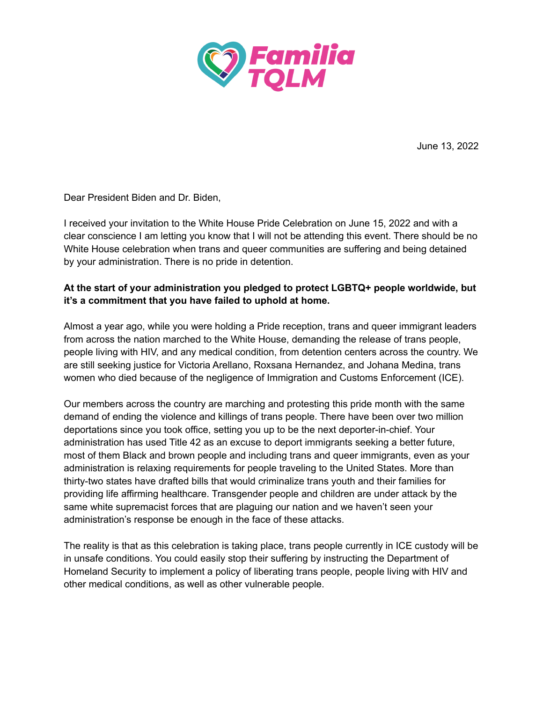

June 13, 2022

Dear President Biden and Dr. Biden,

I received your invitation to the White House Pride Celebration on June 15, 2022 and with a clear conscience I am letting you know that I will not be attending this event. There should be no White House celebration when trans and queer communities are suffering and being detained by your administration. There is no pride in detention.

## **At the start of your administration you pledged to protect LGBTQ+ people worldwide, but it's a commitment that you have failed to uphold at home.**

Almost a year ago, while you were holding a Pride reception, trans and queer immigrant leaders from across the nation marched to the White House, demanding the release of trans people, people living with HIV, and any medical condition, from detention centers across the country. We are still seeking justice for Victoria Arellano, Roxsana Hernandez, and Johana Medina, trans women who died because of the negligence of Immigration and Customs Enforcement (ICE).

Our members across the country are marching and protesting this pride month with the same demand of ending the violence and killings of trans people. There have been over two million deportations since you took office, setting you up to be the next deporter-in-chief. Your administration has used Title 42 as an excuse to deport immigrants seeking a better future, most of them Black and brown people and including trans and queer immigrants, even as your administration is relaxing requirements for people traveling to the United States. More than thirty-two states have drafted bills that would criminalize trans youth and their families for providing life affirming healthcare. Transgender people and children are under attack by the same white supremacist forces that are plaguing our nation and we haven't seen your administration's response be enough in the face of these attacks.

The reality is that as this celebration is taking place, trans people currently in ICE custody will be in unsafe conditions. You could easily stop their suffering by instructing the Department of Homeland Security to implement a policy of liberating trans people, people living with HIV and other medical conditions, as well as other vulnerable people.